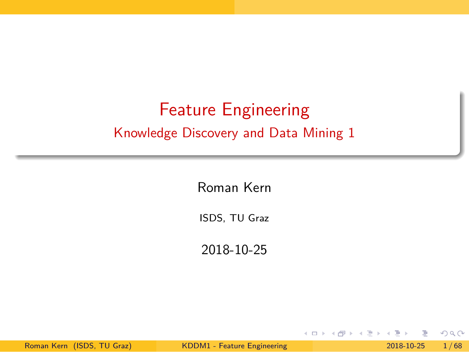# Feature Engineering

Knowledge Discovery and Data Mining 1

### Roman Kern

ISDS, TU Graz

2018-10-25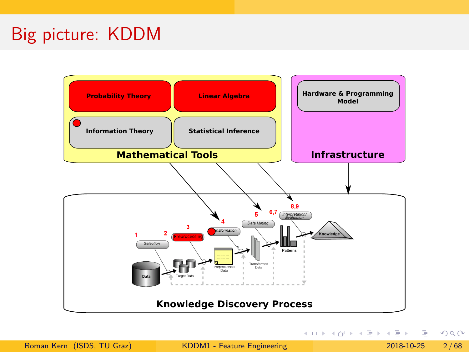# Big picture: KDDM

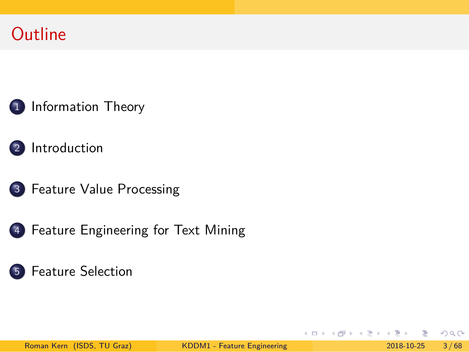# **Outline**

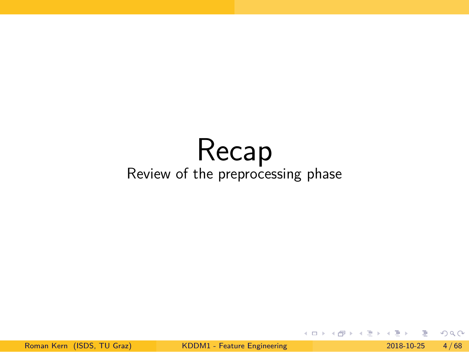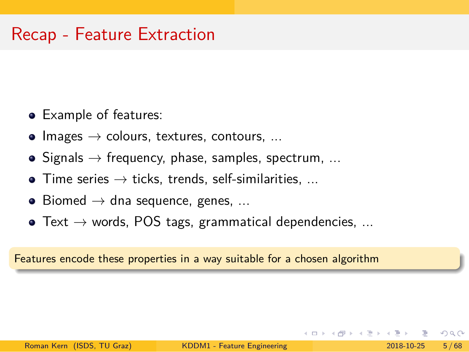- Example of features:
- $\bullet$  Images  $\rightarrow$  colours, textures, contours, ...
- $\bullet$  Signals  $\rightarrow$  frequency, phase, samples, spectrum, ...
- $\bullet$  Time series  $\rightarrow$  ticks, trends, self-similarities, ...
- $\bullet$  Biomed  $\rightarrow$  dna sequence, genes, ...
- $\bullet$  Text  $\rightarrow$  words, POS tags, grammatical dependencies, ...

Features encode these properties in a way suitable for a chosen algorithm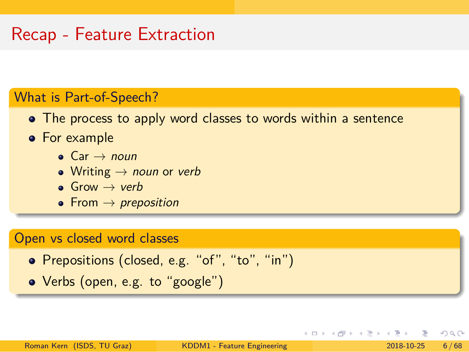### What is Part-of-Speech?

- The process to apply word classes to words within a sentence
- **•** For example
	- Car → *noun*
	- Writing → *noun* or *verb*
	- Grow → *verb*
	- From → *preposition*

### Open vs closed word classes

- Prepositions (closed, e.g. "of", "to", "in")
- Verbs (open, e.g. to "google")

. . . . . . . . . . . . . . . . . . . . . . . . . . . . . . . . . . . . . . . .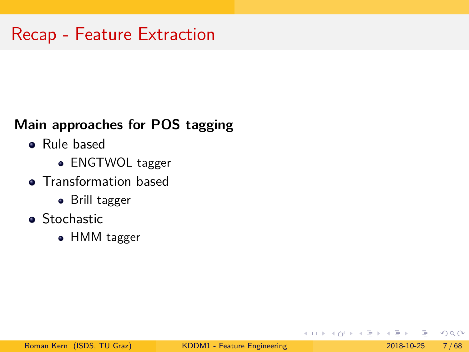### **Main approaches for POS tagging**

- Rule based
	- ENGTWOL tagger
- **•** Transformation based
	- Brill tagger
- Stochastic
	- HMM tagger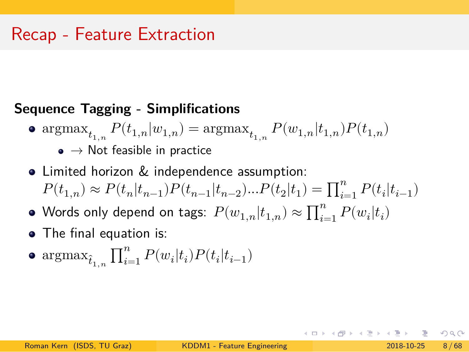### **Sequence Tagging - Simplifications**

- $\operatorname{argmax}_{t_{1,n}} P(t_{1,n}|w_{1,n}) = \operatorname{argmax}_{t_{1,n}} P(w_{1,n}|t_{1,n}) P(t_{1,n})$  $\bullet \to$  Not feasible in practice
- Limited horizon & independence assumption:  $P(t_{1,n})\approx P(t_{n}|t_{n-1})P(t_{n-1}|t_{n-2})...P(t_{2}|t_{1})=\prod_{i=1}^{n}P(t_{i}|t_{i-1})$
- Words only depend on tags:  $P(w_{1,n}|t_{1,n}) \approx \prod_{i=1}^n P(w_i|t_i)$
- The final equation is:
- $\arg \max_{\hat{t}_{1,n}} \prod_{i=1}^{n} P(w_i | t_i) P(t_i | t_{i-1})$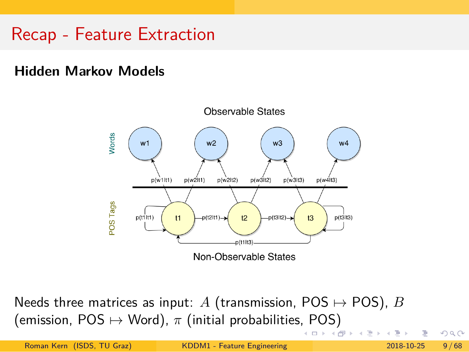**Hidden Markov Models**



(emission, POS  $\mapsto$  Word),  $\pi$  (initial probabilities, POS) Needs three matrices as input:  $A$  (transmission, POS  $\mapsto$  POS),  $B$ 

|                            |                             | - 《 ロ ▶ 《 母 》 《 ヨ 》 《 ヨ 》 《 ヨ 》 《 ヨ 》 《 ヨ 》 《 ヨ 》 《 ヨ 》 《 ヨ 》 《 ヨ 》 《 ヨ 》 《 ヨ 》 《 |                       |  |
|----------------------------|-----------------------------|-----------------------------------------------------------------------------------|-----------------------|--|
| Roman Kern (ISDS, TU Graz) | KDDM1 - Feature Engineering |                                                                                   | $2018 - 10 - 25$ 9/68 |  |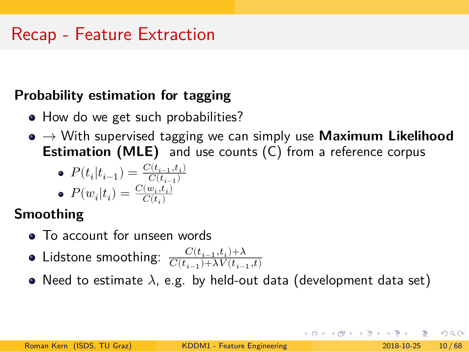### **Probability estimation for tagging**

- How do we get such probabilities?
- → With supervised tagging we can simply use **Maximum Likelihood Estimation (MLE)** and use counts (C) from a reference corpus

• 
$$
P(t_i|t_{i-1}) = \frac{C(t_{i-1}, t_i)}{C(t_{i-1})}
$$
  
\n•  $P(w_i|t) = \frac{C(w_i, t_i)}{C(w_i, t_i)}$ 

$$
\bullet \ \ P(w_i|t_i) = \tfrac{C(w_i,t_i)}{C(t_i)}
$$

### **Smoothing**

- To account for unseen words
- Lidstone smoothing:  $\frac{C(t_{i-1}, t_i)+\lambda}{C(t_{i-1}+\lambda) V(t_i)}$  $C(t_{i-1}){+}\lambda V(t_{i-1},t)$
- Need to estimate  $\lambda$ , e.g. by held-out data (development data set)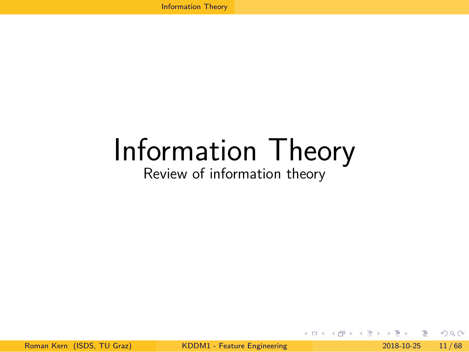# Information Theory

Review of information theory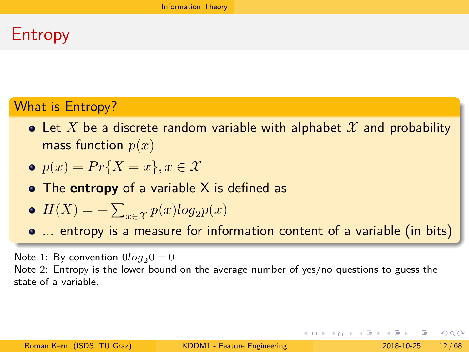# Entropy

### What is Entropy?

- Let  $X$  be a discrete random variable with alphabet  $\mathcal X$  and probability mass function  $p(x)$
- $p(x) = Pr{X = x}, x \in \mathcal{X}$
- The **entropy** of a variable X is defined as
- $H(X) = -\sum_{x \in \mathcal{X}} p(x) log_2 p(x)$
- ... entropy is a measure for information content of a variable (in bits)

Note 1: By convention  $0log_2 0 = 0$ 

Note 2: Entropy is the lower bound on the average number of yes/no questions to guess the state of a variable.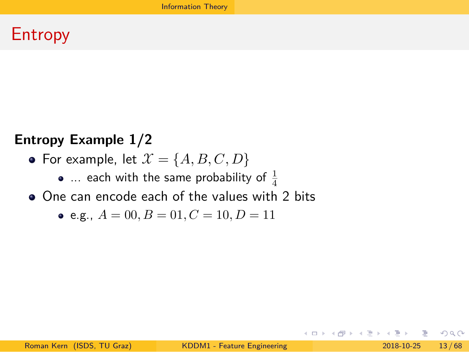# Entropy

### **Entropy Example 1/2**

- For example, let  $\mathcal{X} = \{A, B, C, D\}$ 
	- ... each with the same probability of  $\frac{1}{4}$
- One can encode each of the values with 2 bits

Information Theory

• e.g.,  $A = 00, B = 01, C = 10, D = 11$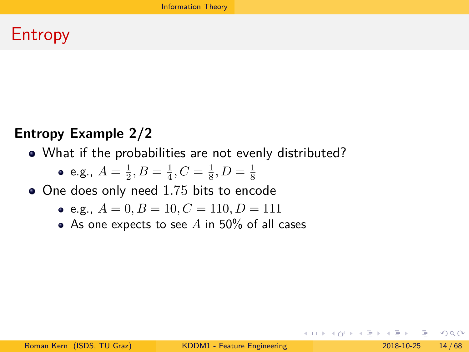Entropy

### **Entropy Example 2/2**

- What if the probabilities are not evenly distributed?
	- e.g.,  $A = \frac{1}{2}, B = \frac{1}{4}, C = \frac{1}{8}, D = \frac{1}{8}$
- One does only need 1.75 bits to encode
	- e.g.,  $A = 0, B = 10, C = 110, D = 111$
	- As one expects to see  $A$  in 50% of all cases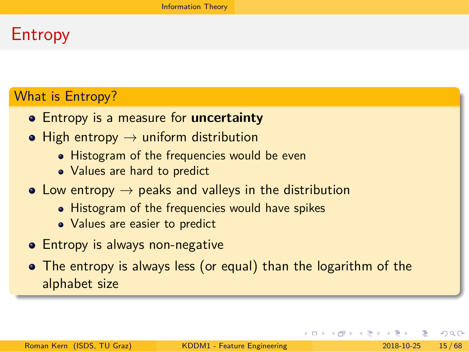# Entropy

### What is Entropy?

- Entropy is a measure for **uncertainty**
- $\bullet$  High entropy  $\rightarrow$  uniform distribution
	- Histogram of the frequencies would be even
	- Values are hard to predict
- $\bullet$  Low entropy  $\rightarrow$  peaks and valleys in the distribution
	- Histogram of the frequencies would have spikes
	- Values are easier to predict
- **•** Entropy is always non-negative
- The entropy is always less (or equal) than the logarithm of the alphabet size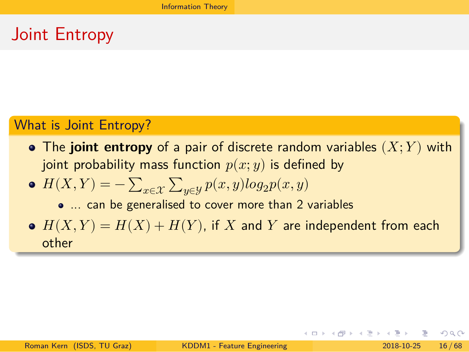# Joint Entropy

### What is Joint Entropy?

- The **joint entropy** of a pair of discrete random variables  $(X; Y)$  with joint probability mass function  $p(x; y)$  is defined by
- $H(X, Y) = -\sum_{x \in \mathcal{X}} \sum_{y \in \mathcal{Y}} p(x, y) log_2 p(x, y)$ 
	- ... can be generalised to cover more than 2 variables
- $\bullet$   $H(X,Y) = H(X) + H(Y)$ , if X and Y are independent from each other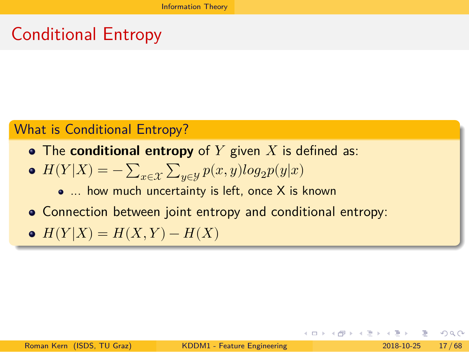Conditional Entropy

### What is Conditional Entropy?

- The **conditional entropy** of  $Y$  given  $X$  is defined as:
- $\bullet$   $H(Y|X) = -\sum_{x \in \mathcal{X}} \sum_{y \in \mathcal{Y}} p(x,y)log_2 p(y|x)$ 
	- ... how much uncertainty is left, once X is known
- Connection between joint entropy and conditional entropy:
- $H(Y|X) = H(X, Y) H(X)$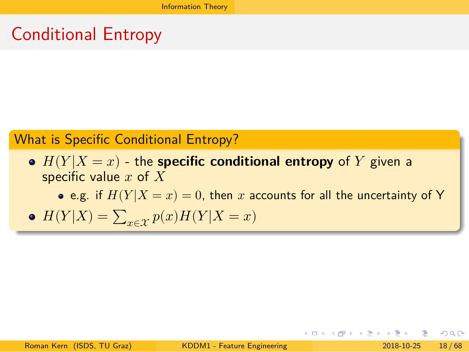Conditional Entropy

What is Specific Conditional Entropy?

- $H(Y|X=x)$  the **specific conditional entropy** of Y given a specific value  $x$  of  $\overline{X}$ 
	- e.g. if  $H(Y | X = x) = 0$ , then  $x$  accounts for all the uncertainty of Y
- $H(Y|X) = \sum_{x \in \mathcal{X}} p(x)H(Y|X=x)$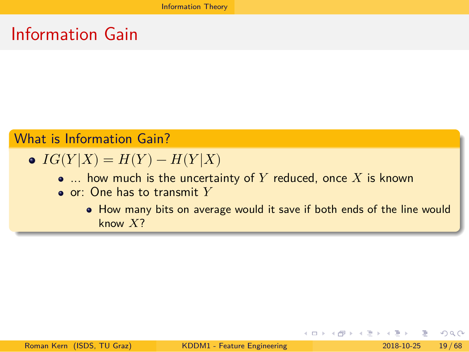Information Gain

What is Information Gain?

- $IG(Y|X) = H(Y) H(Y|X)$ 
	- $\bullet$  ... how much is the uncertainty of  $Y$  reduced, once  $X$  is known
	- $\bullet$  or: One has to transmit  $Y$ 
		- How many bits on average would it save if both ends of the line would know  $X$ ?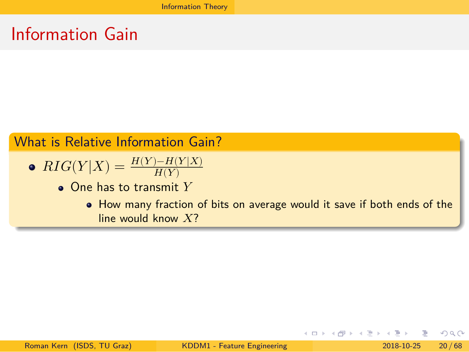Information Gain

What is Relative Information Gain?

• 
$$
RIG(Y|X) = \frac{H(Y) - H(Y|X)}{H(Y)}
$$

- $\bullet$  One has to transmit  $Y$ 
	- How many fraction of bits on average would it save if both ends of the line would know  $X$ ?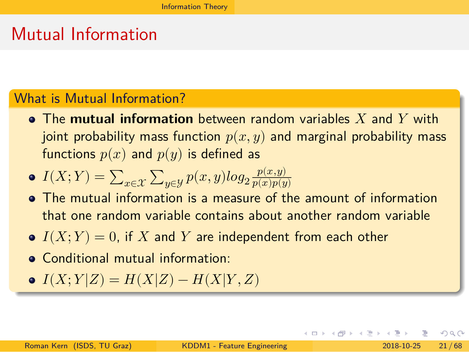### Mutual Information

#### What is Mutual Information?

 $\bullet$  The mutual information between random variables  $X$  and  $Y$  with joint probability mass function  $p(x, y)$  and marginal probability mass functions  $p(x)$  and  $p(y)$  is defined as

 $I(X; Y) = \sum_{x \in \mathcal{X}} \sum_{y \in \mathcal{Y}} p(x, y) log_2 \frac{p(x, y)}{p(x)p(y)}$  $p(x)p(y)$ 

- The mutual information is a measure of the amount of information that one random variable contains about another random variable
- $I(X; Y) = 0$ , if X and Y are independent from each other
- Conditional mutual information:
- $I(X; Y|Z) = H(X|Z) H(X|Y, Z)$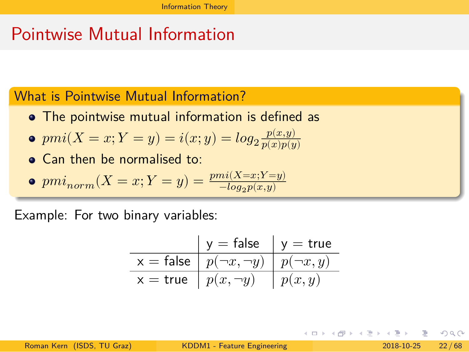### Pointwise Mutual Information

What is Pointwise Mutual Information?

- The pointwise mutual information is defined as
- $pmi(X = x; Y = y) = i(x; y) = log_2 \frac{p(x, y)}{p(x)p(y)}$  $\overline{p(x)p(y)}$
- Can then be normalised to:
- $pmi_{norm}(X = x; Y = y) = \frac{pmi(X=x; Y=y)}{-log_2 p(x,y)}$

Example: For two binary variables:

|            | $y = false$                                    | $v = true$ |
|------------|------------------------------------------------|------------|
|            | $x = false   p(\neg x, \neg y)   p(\neg x, y)$ |            |
| $x = true$ | $p(x, \neg y)$                                 | p(x,y)     |

 $\mathcal{L}$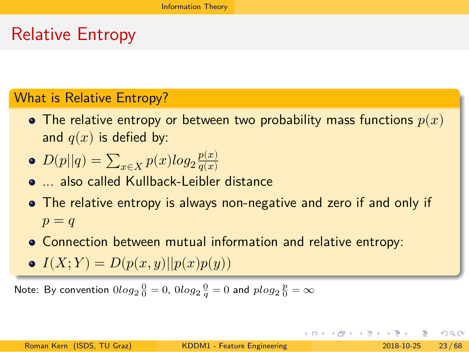### Relative Entropy

### What is Relative Entropy?

- The relative entropy or between two probability mass functions  $p(x)$ and  $q(x)$  is defied by:
- $D(p||q) = \sum_{x \in X} p(x)log_2 \frac{p(x)}{q(x)}$  $q(x)$
- ... also called Kullback-Leibler distance
- The relative entropy is always non-negative and zero if and only if  $p = q$
- Connection between mutual information and relative entropy:
- $I(X; Y) = D(p(x, y)||p(x)p(y))$

Note: By convention  $0log_2\frac{0}{0}=0$ ,  $0log_2\frac{0}{q}=0$  and  $plog_2\frac{p}{0}=\infty$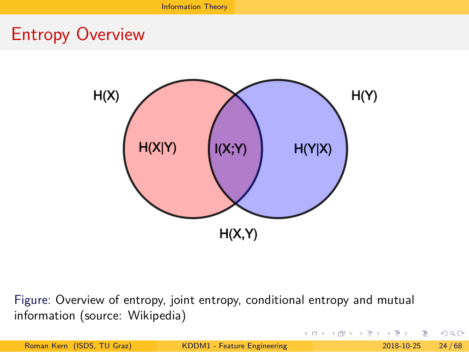

Figure: Overview of entropy, joint entropy, conditional entropy and mutual information (source: Wikipedia)

|                            |                             | - ㅋ ㅁ ▶ ㅋ @ ▶ ㅋ 로 ▶ ㅋ 로 ▶ _ 로 _ ^ 9 Q @ - |  |
|----------------------------|-----------------------------|-------------------------------------------|--|
| Roman Kern (ISDS, TU Graz) | KDDM1 - Feature Engineering | $2018 - 10 - 25$ 24/68                    |  |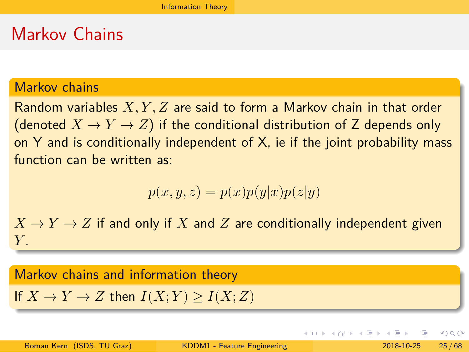### Markov Chains

#### Markov chains

Random variables  $X, Y, Z$  are said to form a Markov chain in that order (denoted  $X \to Y \to Z$ ) if the conditional distribution of Z depends only on  $Y$  and is conditionally independent of  $X$ , ie if the joint probability mass function can be written as:

$$
p(x, y, z) = p(x)p(y|x)p(z|y)
$$

 $X \rightarrow Y \rightarrow Z$  if and only if X and Z are conditionally independent given  $Y_{-}$ 

## Markov chains and information theory

If  $X \to Y \to Z$  then  $I(X; Y) \geq I(X; Z)$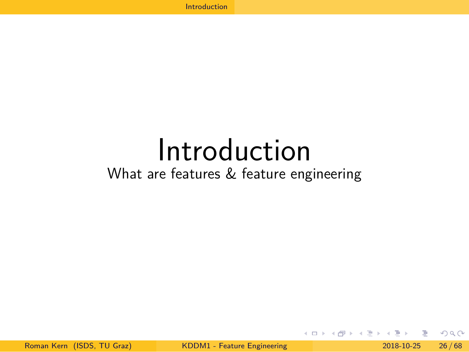# Introduction

What are features & feature engineering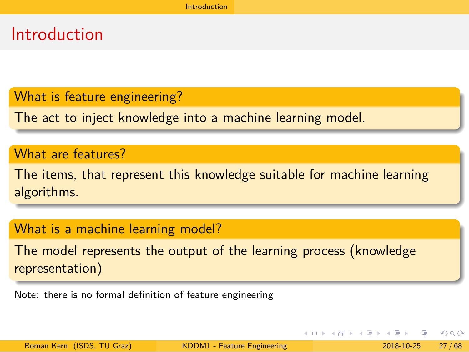What is feature engineering?

The act to inject knowledge into a machine learning model.

Introduction

### What are features?

The items, that represent this knowledge suitable for machine learning algorithms.

### What is a machine learning model?

The model represents the output of the learning process (knowledge representation)

Note: there is no formal definition of feature engineering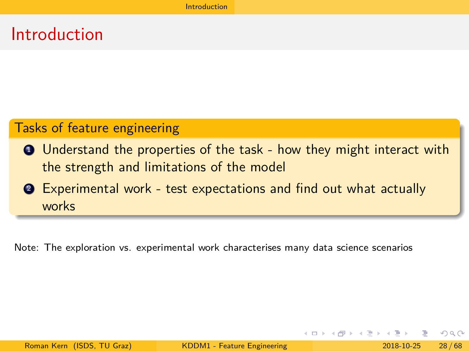Tasks of feature engineering

- <sup>1</sup> Understand the properties of the task how they might interact with the strength and limitations of the model
- <sup>2</sup> Experimental work test expectations and find out what actually works

Introduction

Note: The exploration vs. experimental work characterises many data science scenarios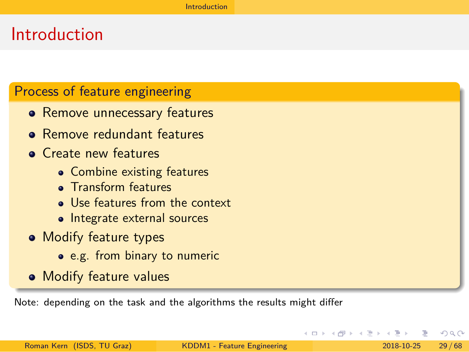### Process of feature engineering

- Remove unnecessary features
- Remove redundant features
- **•** Create new features
	- Combine existing features
	- Transform features
	- Use features from the context
	- Integrate external sources
- Modify feature types
	- e.g. from binary to numeric
- Modify feature values

Note: depending on the task and the algorithms the results might differ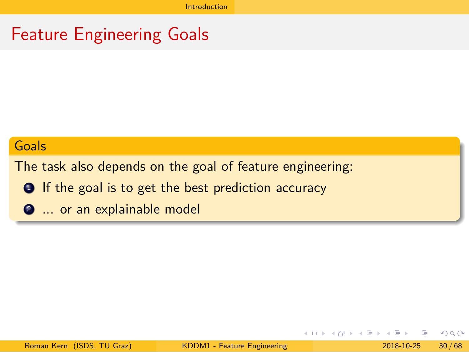# Feature Engineering Goals

#### Goals

The task also depends on the goal of feature engineering:

- **O** If the goal is to get the best prediction accuracy
- <sup>2</sup> ... or an explainable model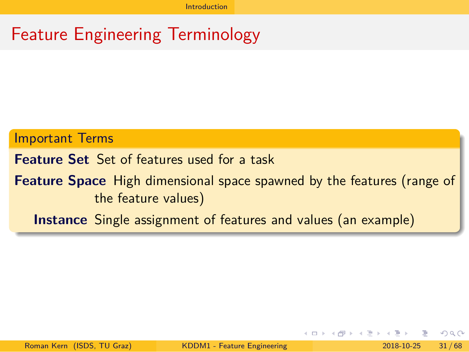# Feature Engineering Terminology

Important Terms

**Feature Set** Set of features used for a task

**Feature Space** High dimensional space spawned by the features (range of the feature values)

**Instance** Single assignment of features and values (an example)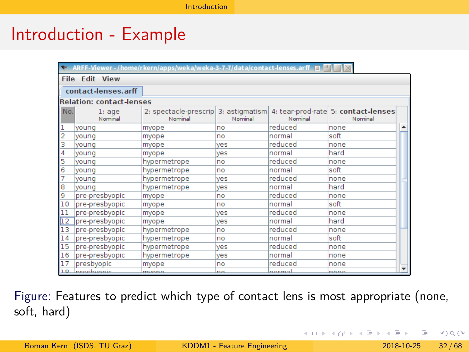# Introduction - Example

|                 |                                 | $\blacktriangleright$ ARFF-Viewer - /home/rkern/apps/weka/weka-3-7-7/data/contact-lenses.arff $\blacksquare$ $\blacksquare$ $\blacksquare$ |             |         |                                                |                          |
|-----------------|---------------------------------|--------------------------------------------------------------------------------------------------------------------------------------------|-------------|---------|------------------------------------------------|--------------------------|
|                 | <b>File Edit View</b>           |                                                                                                                                            |             |         |                                                |                          |
|                 | contact-lenses.arff             |                                                                                                                                            |             |         |                                                |                          |
|                 | <b>Relation: contact-lenses</b> |                                                                                                                                            |             |         |                                                |                          |
| No.             | l:aqe<br>Nominal                | 2: spectacle-prescrip 3: astigmatism<br>Nominal                                                                                            | Nominal     | Nominal | 4: tear-prod-rate 5: contact-lenses<br>Nominal |                          |
|                 | vouna                           | myope                                                                                                                                      | no          | reduced | none                                           |                          |
|                 | voung                           | myope                                                                                                                                      | no          | normal  | soft                                           |                          |
| 3               | vouna                           | myope                                                                                                                                      | ves         | reduced | none                                           |                          |
| 4               | voung                           | myope                                                                                                                                      | ves         | normal  | hard                                           |                          |
| 5               | vouna                           | hypermetrope                                                                                                                               | <b>no</b>   | reduced | none                                           |                          |
| 6               | vouna                           | hypermetrope                                                                                                                               | <b>no</b>   | normal  | soft                                           |                          |
|                 | vouna                           | hypermetrope                                                                                                                               | ves         | reduced | none                                           |                          |
| 18              | vouna                           | hypermetrope                                                                                                                               | ves         | normal  | hard                                           |                          |
| 9               | pre-presbyopic                  | myope                                                                                                                                      | no          | reduced | none                                           |                          |
| 10              | pre-presbyopic                  | myope                                                                                                                                      | no          | normal  | soft                                           |                          |
| 11              | pre-presbyopic                  | myope                                                                                                                                      | ves         | reduced | none                                           |                          |
| $\overline{12}$ | pre-presbyopic                  | myope                                                                                                                                      | ves         | normal  | hard                                           |                          |
| 13              | pre-presbyopic                  | hypermetrope                                                                                                                               | no          | reduced | none                                           |                          |
| 14              | pre-presbyopic                  | hypermetrope                                                                                                                               | no          | normal  | soft                                           |                          |
| 15              | pre-presbyopic                  | hypermetrope                                                                                                                               | ves         | reduced | none                                           |                          |
| 16              | pre-presbyopic                  | hypermetrope                                                                                                                               | ves         | normal  | none                                           |                          |
| 17              | presbyopic                      | myope                                                                                                                                      | lno         | reduced | none                                           | $\overline{\phantom{0}}$ |
| 10              | prochuonic                      | $m \omega_0$                                                                                                                               | $n_{\rm A}$ | normal  | nono                                           |                          |

Figure: Features to predict which type of contact lens is most appropriate (none, soft, hard)

|                            |                             |  | - KEI KA KA BI KI BI KI BI KI KI BI KI BI KI BI BI KI BI KI BI KI BI KI BI KI BI KI BI BI BI BI BI B |  |
|----------------------------|-----------------------------|--|------------------------------------------------------------------------------------------------------|--|
| Roman Kern (ISDS, TU Graz) | KDDM1 - Feature Engineering |  | $2018 - 10 - 25$ $32 / 68$                                                                           |  |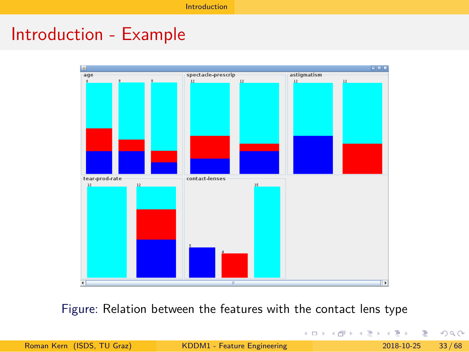

Figure: Relation between the features with the contact lens type

|                            |                             | - K ロ ▶ K 何 ▶ K 로 ▶ K 로 ▶ - 로 - K 이익(N |  |
|----------------------------|-----------------------------|----------------------------------------|--|
| Roman Kern (ISDS, TU Graz) | KDDM1 - Feature Engineering | $2018 - 10 - 25$ 33/68                 |  |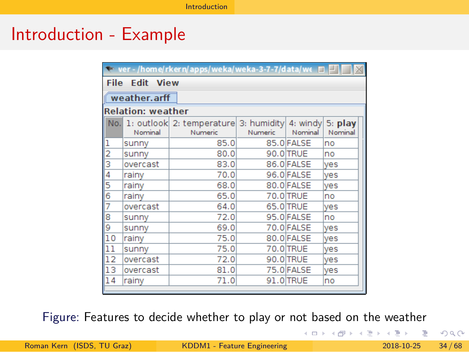# Introduction - Example

|               | $\blacktriangleright$ ver - /home/rkern/apps/weka/weka-3-7-7/data/w $\epsilon$ $\blacksquare$ $\blacksquare$ |                                                               |                |            |                    |
|---------------|--------------------------------------------------------------------------------------------------------------|---------------------------------------------------------------|----------------|------------|--------------------|
| <b>File</b>   | <b>Edit View</b>                                                                                             |                                                               |                |            |                    |
|               | weather.arff                                                                                                 |                                                               |                |            |                    |
|               | <b>Relation: weather</b>                                                                                     |                                                               |                |            |                    |
|               | Nominal                                                                                                      | No. 1: outlook 2: temperature 3: humidity 4: windy<br>Numeric | <b>Numeric</b> | Nominal    | 5: play<br>Nominal |
|               | sunny                                                                                                        | 85.0                                                          |                | 85.0 FALSE | no                 |
| $\frac{1}{2}$ | sunny                                                                                                        | 80.0                                                          |                | 90.0 TRUE  | no                 |
|               | overcast                                                                                                     | 83.0                                                          |                | 86.0 FALSE | <b>ves</b>         |
| 4             | rainy                                                                                                        | 70.0                                                          |                | 96.0 FALSE | yes                |
| 5             | rainy                                                                                                        | 68.0                                                          |                | 80.0 FALSE | <b>ves</b>         |
| 6             | rainy                                                                                                        | 65.0                                                          |                | 70.0 TRUE  | no                 |
| 7             | overcast                                                                                                     | 64.0                                                          |                | 65.0 TRUE  | ves                |
| 8             | sunny                                                                                                        | 72.0                                                          |                | 95.0 FALSE | no                 |
| 9             | sunny                                                                                                        | 69.0                                                          |                | 70.0 FALSE | yes                |
| 10            | rainv                                                                                                        | 75.0                                                          |                | 80.0 FALSE | <b>ves</b>         |
| 11            | sunny                                                                                                        | 75.0                                                          |                | 70.0 TRUE  | ves                |
| 12            | overcast                                                                                                     | 72.0                                                          |                | 90.0 TRUE  | ves                |
| 13            | overcast                                                                                                     | 81.0                                                          |                | 75.0 FALSE | yes                |
| 14            | rainy                                                                                                        | 71.0                                                          |                | 91.0 TRUE  | no                 |

Figure: Features to decide whether to play or not based on the weather

|                            |                             | - K □ ▶ K @ ▶ K ミ ▶ K ミ ▶ │ 큰 │ ◆) Q (^ |  |
|----------------------------|-----------------------------|-----------------------------------------|--|
| Roman Kern (ISDS, TU Graz) | KDDM1 - Feature Engineering | $2018 - 10 - 25$ 34/68                  |  |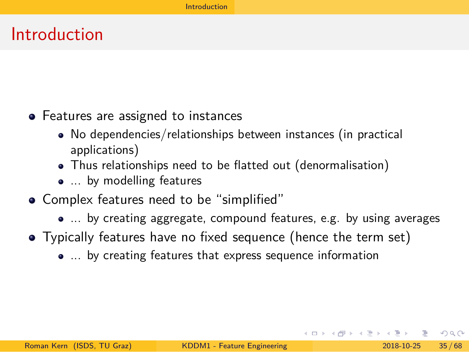- Features are assigned to instances
	- No dependencies/relationships between instances (in practical applications)
	- Thus relationships need to be flatted out (denormalisation)

- ... by modelling features
- Complex features need to be "simplified"
	- ... by creating aggregate, compound features, e.g. by using averages
- Typically features have no fixed sequence (hence the term set)
	- ... by creating features that express sequence information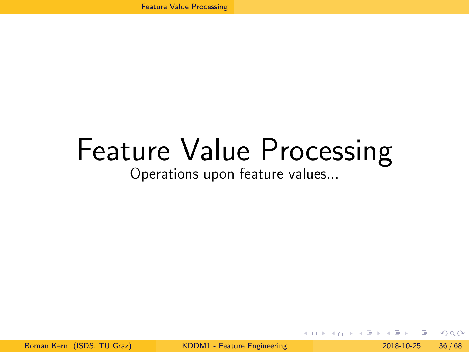# Feature Value Processing

Operations upon feature values...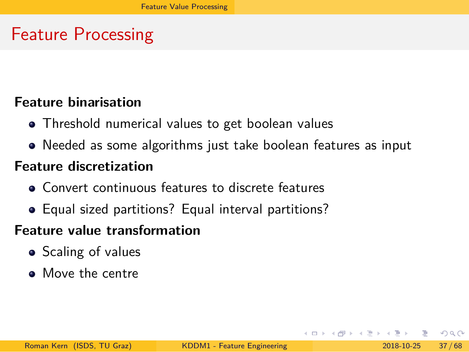# Feature Processing

### **Feature binarisation**

- Threshold numerical values to get boolean values
- Needed as some algorithms just take boolean features as input

#### **Feature discretization**

- Convert continuous features to discrete features
- Equal sized partitions? Equal interval partitions?

### **Feature value transformation**

- **•** Scaling of values
- Move the centre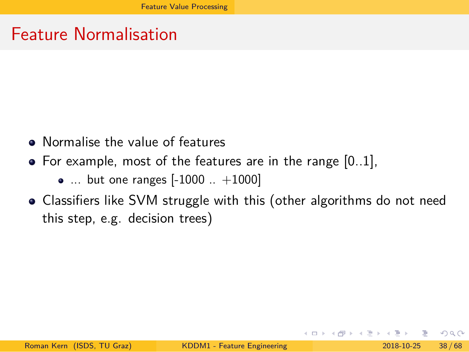Feature Normalisation

- Normalise the value of features
- $\bullet$  For example, most of the features are in the range  $[0..1]$ ,
	- ... but one ranges [-1000 .. +1000]
- Classifiers like SVM struggle with this (other algorithms do not need this step, e.g. decision trees)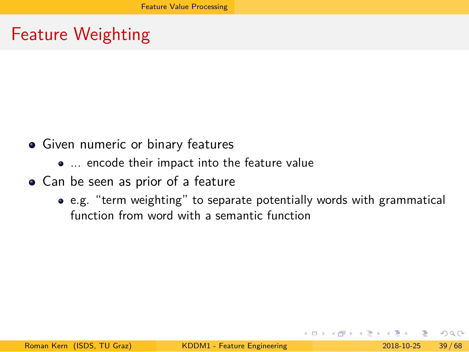Feature Weighting

- Given numeric or binary features
	- ... encode their impact into the feature value
- Can be seen as prior of a feature
	- e.g. "term weighting" to separate potentially words with grammatical function from word with a semantic function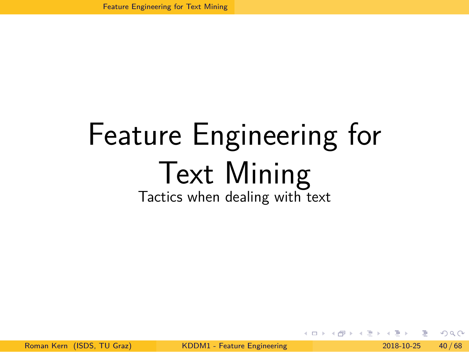# Feature Engineering for Text Mining

Tactics when dealing with text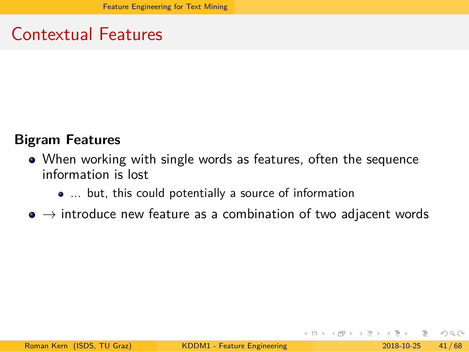Contextual Features

### **Bigram Features**

- When working with single words as features, often the sequence information is lost
	- ... but, this could potentially a source of information
- $\bullet \to$  introduce new feature as a combination of two adjacent words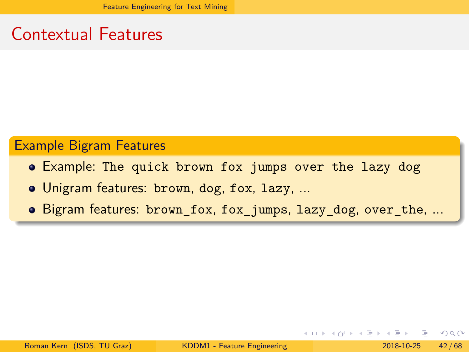Contextual Features

Example Bigram Features

- Example: The quick brown fox jumps over the lazy dog
- Unigram features: brown, dog, fox, lazy, ...
- Bigram features: brown\_fox, fox\_jumps, lazy\_dog, over\_the, ...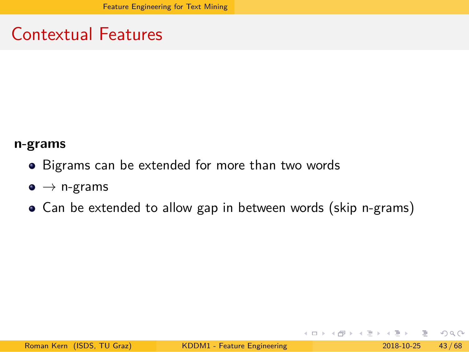Contextual Features

### **n-grams**

- Bigrams can be extended for more than two words
- $\bullet \rightarrow$  n-grams
- Can be extended to allow gap in between words (skip n-grams)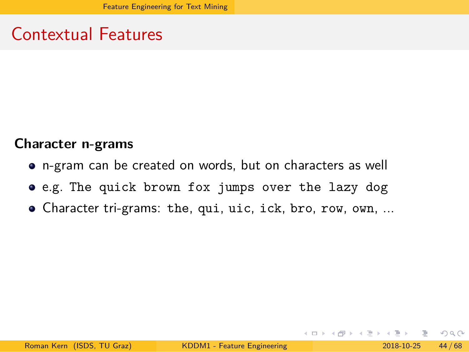Contextual Features

### **Character n-grams**

- n-gram can be created on words, but on characters as well
- e.g. The quick brown fox jumps over the lazy dog
- Character tri-grams: the, qui, uic, ick, bro, row, own, ...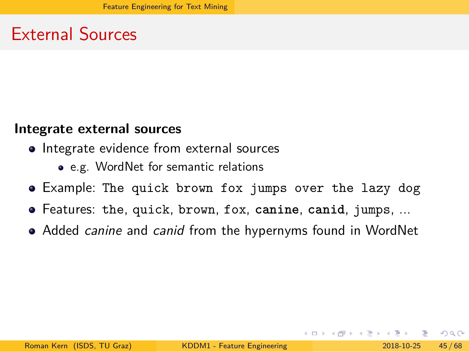External Sources

### **Integrate external sources**

- Integrate evidence from external sources
	- e.g. WordNet for semantic relations
- Example: The quick brown fox jumps over the lazy dog
- Features: the, quick, brown, fox, **canine**, **canid**, jumps, ...
- Added *canine* and *canid* from the hypernyms found in WordNet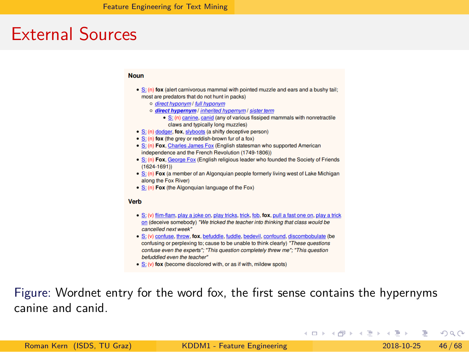### External Sources





Figure: Wordnet entry for the word fox, the first sense contains the hypernyms canine and canid.

|                            |                             | - KEI KH@I KIE KIE KIE EI YORO |                        |
|----------------------------|-----------------------------|--------------------------------|------------------------|
| Roman Kern (ISDS, TU Graz) | KDDM1 - Feature Engineering |                                | $2018 - 10 - 25$ 46/68 |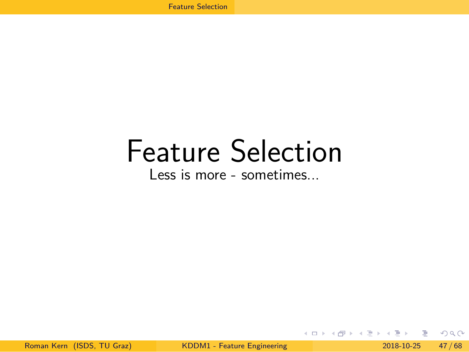# Feature Selection

Less is more - sometimes...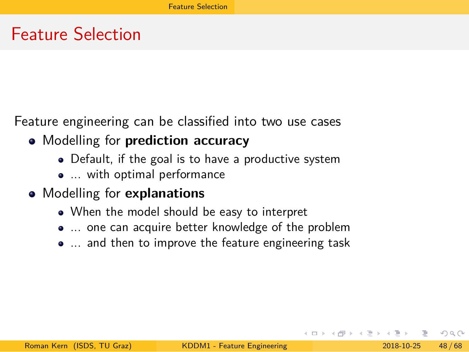Feature Selection

Feature engineering can be classified into two use cases

- Modelling for **prediction accuracy**
	- Default, if the goal is to have a productive system
	- ... with optimal performance
- Modelling for **explanations**
	- When the model should be easy to interpret
	- ... one can acquire better knowledge of the problem
	- ... and then to improve the feature engineering task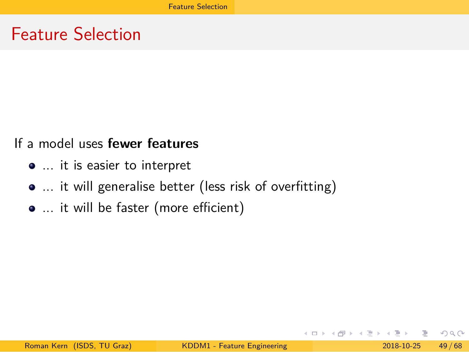Feature Selection

If a model uses **fewer features**

- ... it is easier to interpret
- ... it will generalise better (less risk of overfitting)
- ... it will be faster (more efficient)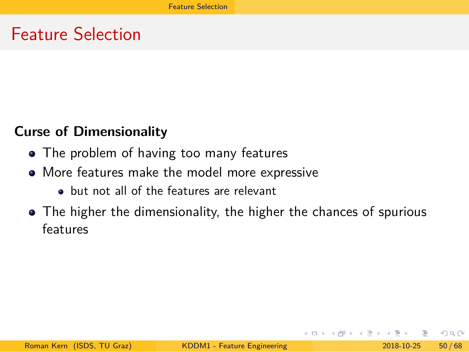Feature Selection

### **Curse of Dimensionality**

- The problem of having too many features
- More features make the model more expressive
	- but not all of the features are relevant
- The higher the dimensionality, the higher the chances of spurious features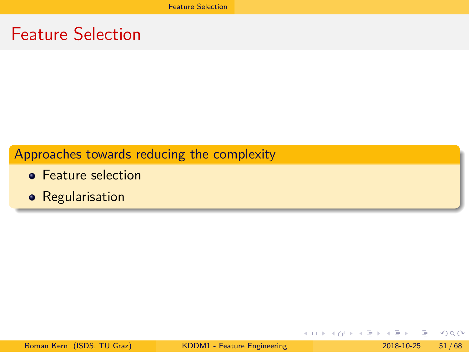Feature Selection

Approaches towards reducing the complexity

- **•** Feature selection
- **•** Regularisation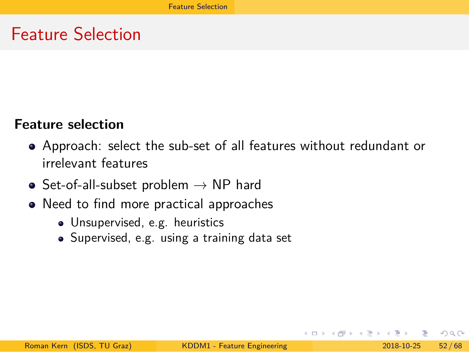Feature Selection

### **Feature selection**

- Approach: select the sub-set of all features without redundant or irrelevant features
- $\bullet$  Set-of-all-subset problem  $\rightarrow$  NP hard
- Need to find more practical approaches
	- Unsupervised, e.g. heuristics
	- Supervised, e.g. using a training data set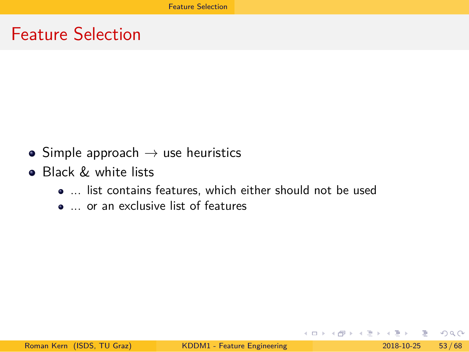Feature Selection

- $\bullet$  Simple approach  $\rightarrow$  use heuristics
- **•** Black & white lists
	- ... list contains features, which either should not be used
	- ... or an exclusive list of features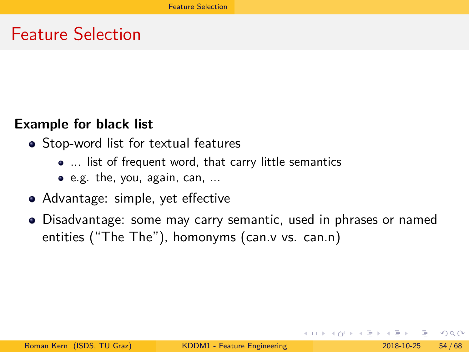Feature Selection

### **Example for black list**

- Stop-word list for textual features
	- ... list of frequent word, that carry little semantics
	- e.g. the, you, again, can, ...
- Advantage: simple, yet effective
- Disadvantage: some may carry semantic, used in phrases or named entities ("The The"), homonyms (can.v vs. can.n)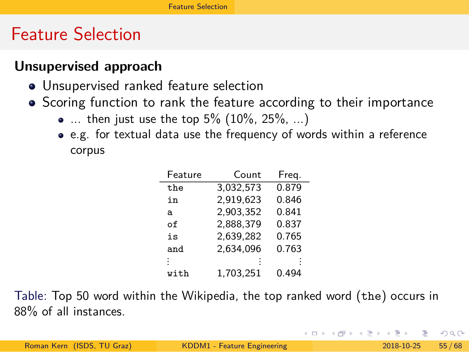### Feature Selection

#### **Unsupervised approach**

- Unsupervised ranked feature selection
- Scoring function to rank the feature according to their importance
	- ... then just use the top  $5\%$   $(10\%, 25\%, ...)$
	- e.g. for textual data use the frequency of words within a reference corpus

| Feature | Count     | Freg. |
|---------|-----------|-------|
| the     | 3.032.573 | 0.879 |
| in      | 2,919,623 | 0.846 |
| a       | 2.903.352 | 0.841 |
| оf      | 2,888,379 | 0.837 |
| is      | 2.639.282 | 0.765 |
| and     | 2.634.096 | 0.763 |
|         |           |       |
| with    | 1.703.251 | 0.494 |

Table: Top 50 word within the Wikipedia, the top ranked word (the) occurs in 88% of all instances.

|                            |                             | 그리고 메리카 지 후 세 시 분 시 나는 모 생겨지다. |                        |  |
|----------------------------|-----------------------------|--------------------------------|------------------------|--|
| Roman Kern (ISDS, TU Graz) | KDDM1 - Feature Engineering |                                | $2018 - 10 - 25$ 55/68 |  |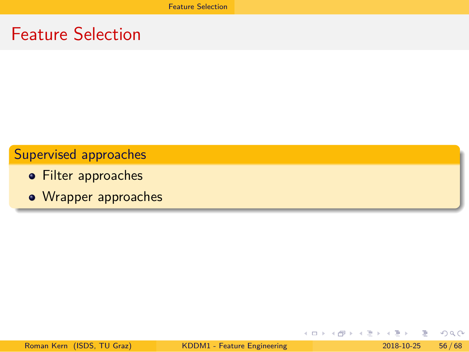Feature Selection

Supervised approaches

- Filter approaches
- Wrapper approaches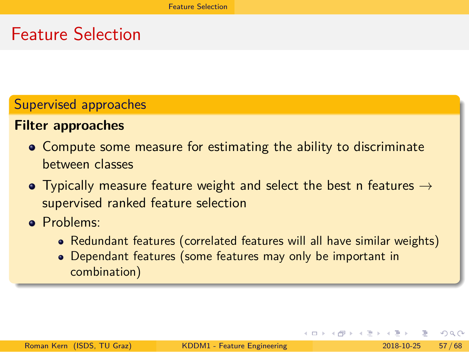### Feature Selection

### Supervised approaches

### **Filter approaches**

- Compute some measure for estimating the ability to discriminate between classes
- Typically measure feature weight and select the best n features  $\rightarrow$ supervised ranked feature selection
- Problems:
	- Redundant features (correlated features will all have similar weights)
	- Dependant features (some features may only be important in combination)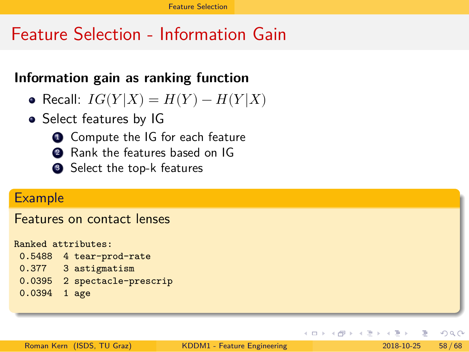### Feature Selection - Information Gain

### **Information gain as ranking function**

- Recall:  $IG(Y|X) = H(Y) H(Y|X)$
- Select features by IG
	- **4** Compute the IG for each feature
	- <sup>2</sup> Rank the features based on IG
	- <sup>3</sup> Select the top-k features

#### **Example**

Features on contact lenses

| Ranked attributes: |                         |
|--------------------|-------------------------|
|                    | 0.5488 4 tear-prod-rate |
| 0.377              | 3 astigmatism           |
| 0.0395             | 2 spectacle-prescrip    |
| $0.0394$ 1 age     |                         |
|                    |                         |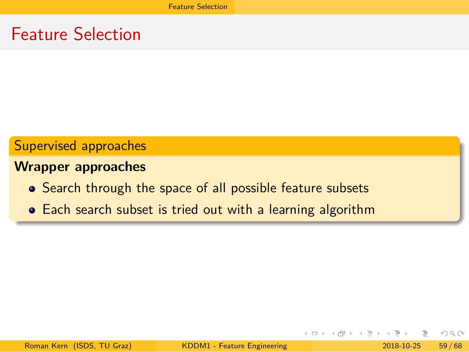Feature Selection

Supervised approaches

**Wrapper approaches**

- Search through the space of all possible feature subsets
- Each search subset is tried out with a learning algorithm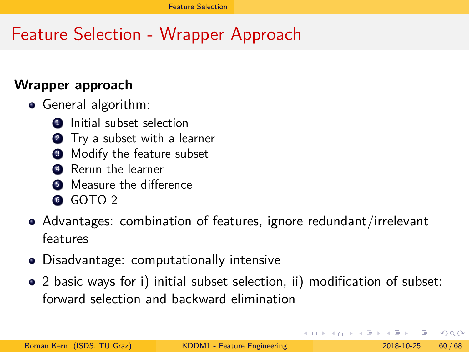# Feature Selection - Wrapper Approach

#### **Wrapper approach**

- **•** General algorithm:
	- **1** Initial subset selection
	- **2** Try a subset with a learner
	- <sup>3</sup> Modify the feature subset
	- **4** Rerun the learner
	- **6** Measure the difference
	- GOTO<sub>2</sub>
- Advantages: combination of features, ignore redundant/irrelevant features
- Disadvantage: computationally intensive
- 2 basic ways for i) initial subset selection, ii) modification of subset: forward selection and backward elimination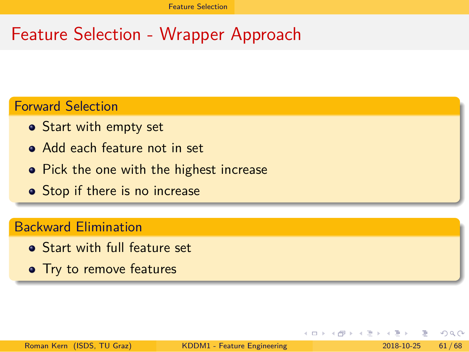# Feature Selection - Wrapper Approach

### Forward Selection

- Start with empty set
- Add each feature not in set
- Pick the one with the highest increase
- Stop if there is no increase

#### Backward Elimination

- Start with full feature set
- Try to remove features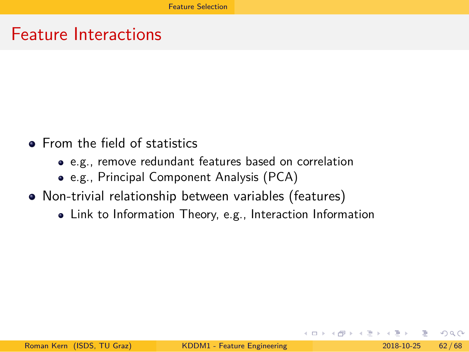Feature Interactions

- **•** From the field of statistics
	- e.g., remove redundant features based on correlation
	- e.g., Principal Component Analysis (PCA)
- Non-trivial relationship between variables (features)
	- Link to Information Theory, e.g., Interaction Information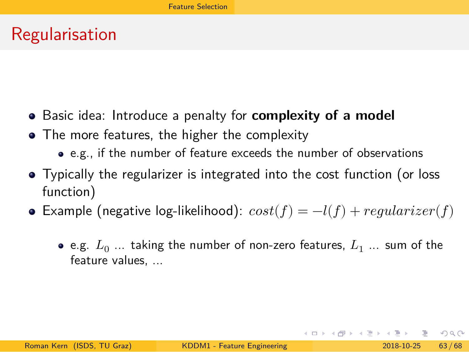Regularisation

- Basic idea: Introduce a penalty for **complexity of a model**
- The more features, the higher the complexity
	- e.g., if the number of feature exceeds the number of observations
- Typically the regularizer is integrated into the cost function (or loss function)
- Example (negative log-likelihood):  $cost(f) = -l(f) + regularizer(f)$ 
	- e.g.  $L_0$  ... taking the number of non-zero features,  $L_1$  ... sum of the feature values, ...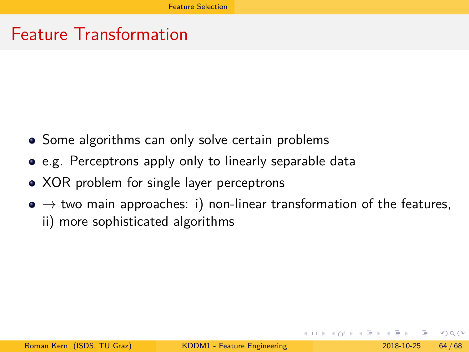Feature Transformation

- Some algorithms can only solve certain problems
- e.g. Perceptrons apply only to linearly separable data
- XOR problem for single layer perceptrons
- $\bullet \to$  two main approaches: i) non-linear transformation of the features, ii) more sophisticated algorithms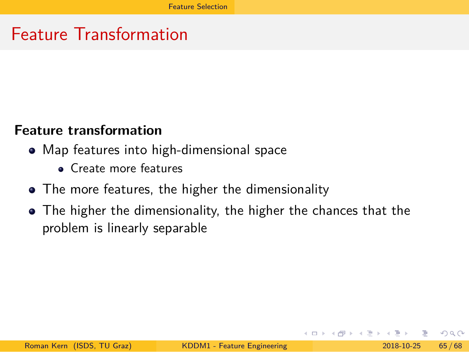Feature Transformation

#### **Feature transformation**

- Map features into high-dimensional space
	- Create more features
- The more features, the higher the dimensionality
- The higher the dimensionality, the higher the chances that the problem is linearly separable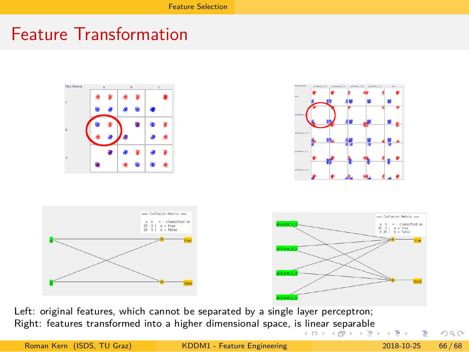# Feature Transformation



nicar scparabic . . . . . . . . . . . . . . . . . . . . Left: original features, which cannot be separated by a single layer perceptron; Right: features transformed into a higher dimensional space, is linear separable

|                            | agne. Teatures transformed into a inglici unifersional space, is intear separable | - 《 ロ 》 《 何 》 《 三 》 《 三 》 - 三   ◇ Q (◇ |  |
|----------------------------|-----------------------------------------------------------------------------------|----------------------------------------|--|
| Roman Kern (ISDS, TU Graz) | KDDM1 - Feature Engineering                                                       | 2018-10-25 66/68                       |  |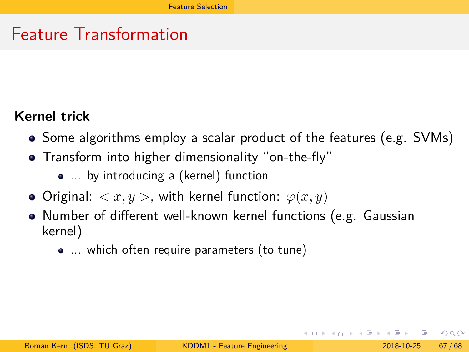Feature Transformation

### **Kernel trick**

- Some algorithms employ a scalar product of the features (e.g. SVMs)
- Transform into higher dimensionality "on-the-fly"
	- ... by introducing a (kernel) function
- Original:  $\langle x, y \rangle$ , with kernel function:  $\varphi(x, y)$
- Number of different well-known kernel functions (e.g. Gaussian kernel)
	- ... which often require parameters (to tune)